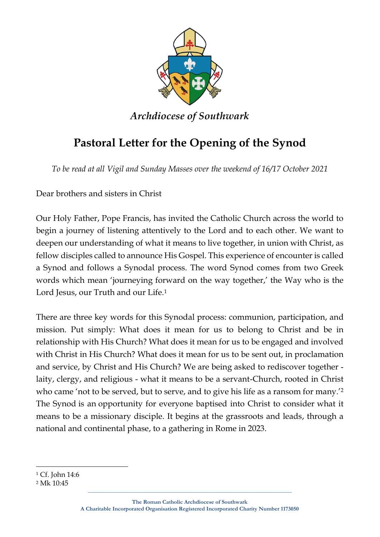

*Archdiocese of Southwark*

## **Pastoral Letter for the Opening of the Synod**

*To be read at all Vigil and Sunday Masses over the weekend of 16/17 October 2021*

Dear brothers and sisters in Christ

Our Holy Father, Pope Francis, has invited the Catholic Church across the world to begin a journey of listening attentively to the Lord and to each other. We want to deepen our understanding of what it means to live together, in union with Christ, as fellow disciples called to announce His Gospel. This experience of encounter is called a Synod and follows a Synodal process. The word Synod comes from two Greek words which mean 'journeying forward on the way together,' the Way who is the Lord Jesus, our Truth and our Life.<sup>1</sup>

There are three key words for this Synodal process: communion, participation, and mission. Put simply: What does it mean for us to belong to Christ and be in relationship with His Church? What does it mean for us to be engaged and involved with Christ in His Church? What does it mean for us to be sent out, in proclamation and service, by Christ and His Church? We are being asked to rediscover together laity, clergy, and religious - what it means to be a servant-Church, rooted in Christ who came 'not to be served, but to serve, and to give his life as a ransom for many.<sup>'2</sup> The Synod is an opportunity for everyone baptised into Christ to consider what it means to be a missionary disciple. It begins at the grassroots and leads, through a national and continental phase, to a gathering in Rome in 2023.

**\_\_\_\_\_\_\_\_\_\_\_\_\_\_\_\_\_\_\_\_\_\_\_\_\_\_\_\_\_\_\_\_\_\_\_\_\_\_\_\_\_\_\_\_\_\_\_\_\_\_\_\_\_\_\_\_\_\_\_\_\_\_\_\_\_\_\_\_\_\_\_\_\_\_\_\_\_\_\_\_**

<sup>1</sup> Cf. John 14:6

<sup>2</sup> Mk 10:45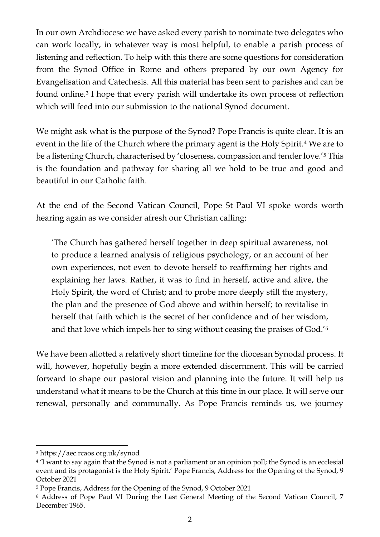In our own Archdiocese we have asked every parish to nominate two delegates who can work locally, in whatever way is most helpful, to enable a parish process of listening and reflection. To help with this there are some questions for consideration from the Synod Office in Rome and others prepared by our own Agency for Evangelisation and Catechesis. All this material has been sent to parishes and can be found online.<sup>3</sup> I hope that every parish will undertake its own process of reflection which will feed into our submission to the national Synod document.

We might ask what is the purpose of the Synod? Pope Francis is quite clear. It is an event in the life of the Church where the primary agent is the Holy Spirit.<sup>4</sup> We are to be a listening Church, characterised by 'closeness, compassion and tender love.'<sup>5</sup> This is the foundation and pathway for sharing all we hold to be true and good and beautiful in our Catholic faith.

At the end of the Second Vatican Council, Pope St Paul VI spoke words worth hearing again as we consider afresh our Christian calling:

'The Church has gathered herself together in deep spiritual awareness, not to produce a learned analysis of religious psychology, or an account of her own experiences, not even to devote herself to reaffirming her rights and explaining her laws. Rather, it was to find in herself, active and alive, the Holy Spirit, the word of Christ; and to probe more deeply still the mystery, the plan and the presence of God above and within herself; to revitalise in herself that faith which is the secret of her confidence and of her wisdom, and that love which impels her to sing without ceasing the praises of God.'<sup>6</sup>

We have been allotted a relatively short timeline for the diocesan Synodal process. It will, however, hopefully begin a more extended discernment. This will be carried forward to shape our pastoral vision and planning into the future. It will help us understand what it means to be the Church at this time in our place. It will serve our renewal, personally and communally. As Pope Francis reminds us, we journey

<sup>3</sup> https://aec.rcaos.org.uk/synod

<sup>4</sup> 'I want to say again that the Synod is not a parliament or an opinion poll; the Synod is an ecclesial event and its protagonist is the Holy Spirit.' Pope Francis, Address for the Opening of the Synod, 9 October 2021

<sup>5</sup> Pope Francis, Address for the Opening of the Synod, 9 October 2021

<sup>6</sup> Address of Pope Paul VI During the Last General Meeting of the Second Vatican Council, 7 December 1965.